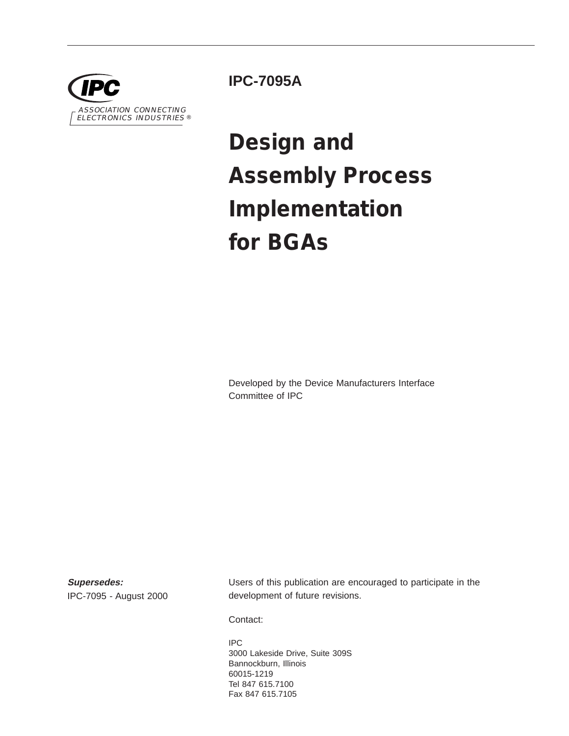

**IPC-7095A**

# **Design and Assembly Process Implementation for BGAs**

Developed by the Device Manufacturers Interface Committee of IPC

**Supersedes:** IPC-7095 - August 2000 Users of this publication are encouraged to participate in the development of future revisions.

Contact:

IPC 3000 Lakeside Drive, Suite 309S Bannockburn, Illinois 60015-1219 Tel 847 615.7100 Fax 847 615.7105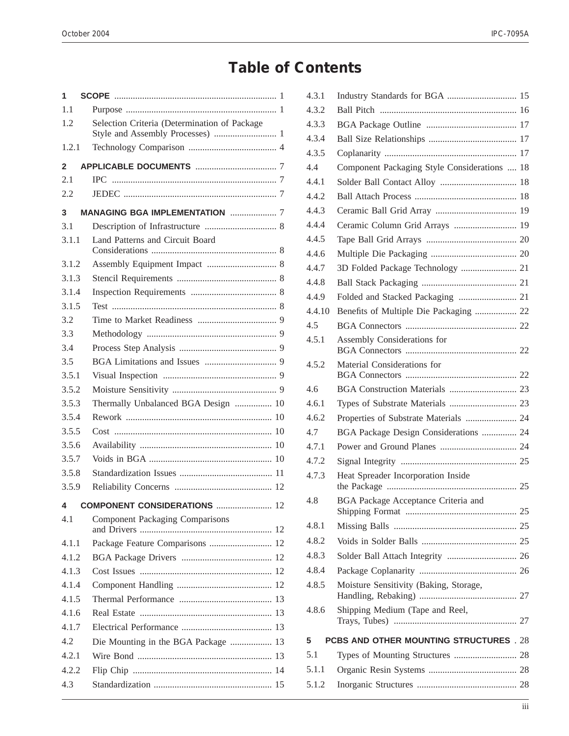# **Table of Contents**

| 1            |                                              |
|--------------|----------------------------------------------|
| 1.1          |                                              |
| 1.2          | Selection Criteria (Determination of Package |
| 1.2.1        |                                              |
| $\mathbf{2}$ |                                              |
| 2.1          |                                              |
| 2.2          |                                              |
| 3            | <b>MANAGING BGA IMPLEMENTATION  7</b>        |
| 3.1          |                                              |
| 3.1.1        | Land Patterns and Circuit Board              |
| 3.1.2        |                                              |
| 3.1.3        |                                              |
| 3.1.4        |                                              |
| 3.1.5        |                                              |
| 3.2          |                                              |
| 3.3          |                                              |
| 3.4          |                                              |
| 3.5          |                                              |
| 3.5.1        |                                              |
| 3.5.2        |                                              |
| 3.5.3        | Thermally Unbalanced BGA Design  10          |
| 3.5.4        |                                              |
| 3.5.5        |                                              |
| 3.5.6        |                                              |
| 3.5.7        |                                              |
| 3.5.8        |                                              |
| 3.5.9        |                                              |
|              | 4 COMPONENT CONSIDERATIONS  12               |
| 4.1          | <b>Component Packaging Comparisons</b>       |
| 4.1.1        | Package Feature Comparisons  12              |
| 4.1.2        |                                              |
| 4.1.3        |                                              |
| 4.1.4        |                                              |
| 4.1.5        |                                              |
| 4.1.6        |                                              |
| 4.1.7        |                                              |
| 4.2          | Die Mounting in the BGA Package  13          |
| 4.2.1        |                                              |
| 4.2.2        |                                              |
| 4.3          |                                              |
|              |                                              |

| 4.3.1  | Industry Standards for BGA  15               |  |
|--------|----------------------------------------------|--|
| 4.3.2  |                                              |  |
| 4.3.3  |                                              |  |
| 4.3.4  |                                              |  |
| 4.3.5  |                                              |  |
| 4.4    | Component Packaging Style Considerations  18 |  |
| 4.4.1  |                                              |  |
| 4.4.2  |                                              |  |
| 4.4.3  |                                              |  |
| 4.4.4  | Ceramic Column Grid Arrays  19               |  |
| 4.4.5  |                                              |  |
| 4.4.6  |                                              |  |
| 4.4.7  | 3D Folded Package Technology  21             |  |
| 4.4.8  |                                              |  |
| 4.4.9  | Folded and Stacked Packaging  21             |  |
| 4.4.10 | Benefits of Multiple Die Packaging  22       |  |
| 4.5    |                                              |  |
| 4.5.1  | Assembly Considerations for                  |  |
| 4.5.2  | Material Considerations for                  |  |
| 4.6    |                                              |  |
| 4.6.1  |                                              |  |
| 4.6.2  | Properties of Substrate Materials  24        |  |
| 4.7    | BGA Package Design Considerations  24        |  |
| 4.7.1  |                                              |  |
| 4.7.2  |                                              |  |
| 4.7.3  | Heat Spreader Incorporation Inside           |  |
| 4.8    | <b>BGA Package Acceptance Criteria and</b>   |  |
| 4.8.1  |                                              |  |
| 4.8.2  |                                              |  |
| 4.8.3  |                                              |  |
| 4.8.4  |                                              |  |
| 4.8.5  | Moisture Sensitivity (Baking, Storage,       |  |
| 4.8.6  | Shipping Medium (Tape and Reel,              |  |
| 5      | PCBS AND OTHER MOUNTING STRUCTURES . 28      |  |
| 5.1    |                                              |  |
| 5.1.1  |                                              |  |
| 5.1.2  |                                              |  |
|        |                                              |  |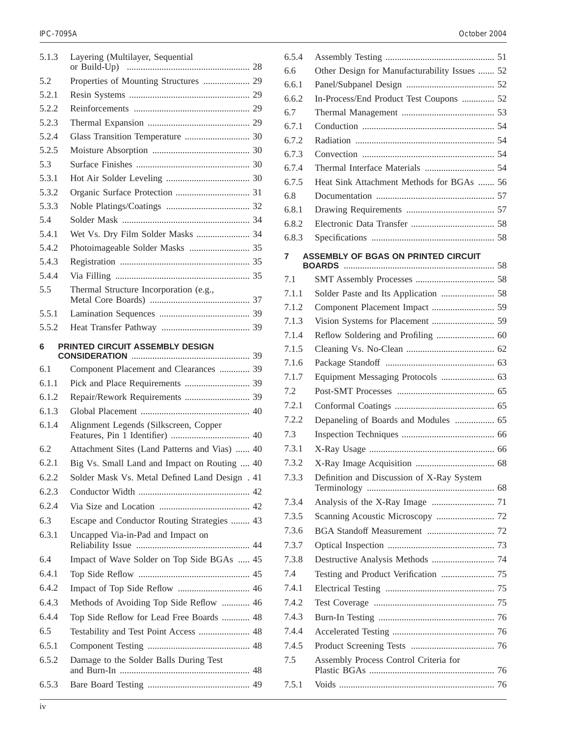| 5.1.3 | Layering (Multilayer, Sequential               |  |
|-------|------------------------------------------------|--|
|       | or Build-Up)                                   |  |
| 5.2   | Properties of Mounting Structures  29          |  |
| 5.2.1 |                                                |  |
| 5.2.2 |                                                |  |
| 5.2.3 |                                                |  |
| 5.2.4 |                                                |  |
| 5.2.5 |                                                |  |
| 5.3   |                                                |  |
| 5.3.1 |                                                |  |
| 5.3.2 |                                                |  |
| 5.3.3 |                                                |  |
| 5.4   |                                                |  |
| 5.4.1 | Wet Vs. Dry Film Solder Masks  34              |  |
| 5.4.2 | Photoimageable Solder Masks  35                |  |
| 5.4.3 |                                                |  |
| 5.4.4 |                                                |  |
| 5.5   | Thermal Structure Incorporation (e.g.,         |  |
| 5.5.1 |                                                |  |
| 5.5.2 |                                                |  |
| 6     | PRINTED CIRCUIT ASSEMBLY DESIGN                |  |
| 6.1   | Component Placement and Clearances  39         |  |
| 6.1.1 |                                                |  |
| 6.1.2 | Repair/Rework Requirements  39                 |  |
| 6.1.3 |                                                |  |
| 6.1.4 | Alignment Legends (Silkscreen, Copper          |  |
| 6.2   | Attachment Sites (Land Patterns and Vias)  40  |  |
| 6.2.1 | Big Vs. Small Land and Impact on Routing  40   |  |
| 6.2.2 | Solder Mask Vs. Metal Defined Land Design . 41 |  |
| 6.2.3 |                                                |  |
| 6.2.4 |                                                |  |
| 6.3   | Escape and Conductor Routing Strategies  43    |  |
| 6.3.1 | Uncapped Via-in-Pad and Impact on              |  |
| 6.4   | Impact of Wave Solder on Top Side BGAs  45     |  |
| 6.4.1 |                                                |  |
| 6.4.2 |                                                |  |
| 6.4.3 | Methods of Avoiding Top Side Reflow  46        |  |
| 6.4.4 |                                                |  |
| 6.5   | Top Side Reflow for Lead Free Boards  48       |  |
|       | Testability and Test Point Access  48          |  |
| 6.5.1 |                                                |  |
| 6.5.2 | Damage to the Solder Balls During Test         |  |
| 6.5.3 |                                                |  |

| 6.5.4 |                                               |  |
|-------|-----------------------------------------------|--|
| 6.6   | Other Design for Manufacturability Issues  52 |  |
| 6.6.1 |                                               |  |
| 6.6.2 | In-Process/End Product Test Coupons  52       |  |
| 6.7   |                                               |  |
| 6.7.1 |                                               |  |
| 6.7.2 |                                               |  |
| 6.7.3 |                                               |  |
| 6.7.4 |                                               |  |
| 6.7.5 | Heat Sink Attachment Methods for BGAs  56     |  |
| 6.8   |                                               |  |
| 6.8.1 |                                               |  |
| 6.8.2 |                                               |  |
| 6.8.3 |                                               |  |
| 7     | ASSEMBLY OF BGAS ON PRINTED CIRCUIT           |  |
|       |                                               |  |
| 7.1   |                                               |  |
| 7.1.1 |                                               |  |
| 7.1.2 |                                               |  |
| 7.1.3 |                                               |  |
| 7.1.4 |                                               |  |
| 7.1.5 |                                               |  |
| 7.1.6 |                                               |  |
| 7.1.7 |                                               |  |
| 7.2   |                                               |  |
| 7.2.1 |                                               |  |
| 7.2.2 | Depaneling of Boards and Modules  65          |  |
| 7.3   |                                               |  |
| 7.3.1 |                                               |  |
| 7.3.2 |                                               |  |
| 7.3.3 | Definition and Discussion of X-Ray System     |  |
| 7.3.4 |                                               |  |
| 7.3.5 |                                               |  |
| 7.3.6 |                                               |  |
| 7.3.7 |                                               |  |
| 7.3.8 | Destructive Analysis Methods  74              |  |
| 7.4   |                                               |  |
| 7.4.1 |                                               |  |
| 7.4.2 |                                               |  |
| 7.4.3 |                                               |  |
| 7.4.4 |                                               |  |
| 7.4.5 |                                               |  |
| 7.5   | Assembly Process Control Criteria for         |  |
| 7.5.1 |                                               |  |
|       |                                               |  |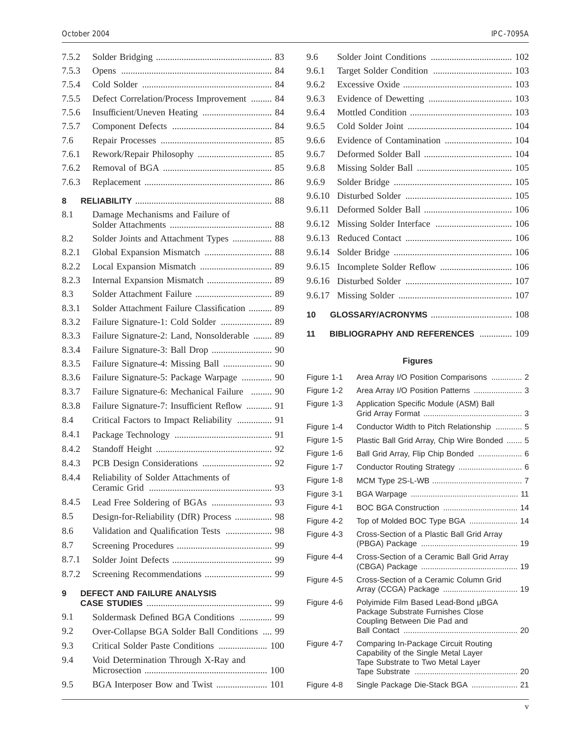| 7.5.2 |                                              |
|-------|----------------------------------------------|
| 7.5.3 |                                              |
| 7.5.4 |                                              |
| 7.5.5 | Defect Correlation/Process Improvement  84   |
| 7.5.6 |                                              |
| 7.5.7 |                                              |
| 7.6   |                                              |
| 7.6.1 |                                              |
| 7.6.2 |                                              |
| 7.6.3 |                                              |
| 8     |                                              |
| 8.1   | Damage Mechanisms and Failure of             |
| 8.2   | Solder Joints and Attachment Types  88       |
| 8.2.1 | Global Expansion Mismatch  88                |
| 8.2.2 |                                              |
| 8.2.3 | Internal Expansion Mismatch  89              |
| 8.3   |                                              |
| 8.3.1 | Solder Attachment Failure Classification  89 |
| 8.3.2 | Failure Signature-1: Cold Solder  89         |
| 8.3.3 | Failure Signature-2: Land, Nonsolderable  89 |
| 8.3.4 |                                              |
| 8.3.5 | Failure Signature-4: Missing Ball  90        |
| 8.3.6 | Failure Signature-5: Package Warpage  90     |
| 8.3.7 | Failure Signature-6: Mechanical Failure  90  |
| 8.3.8 | Failure Signature-7: Insufficient Reflow  91 |
| 8.4   | Critical Factors to Impact Reliability  91   |
| 8.4.1 |                                              |
| 8.4.2 |                                              |
| 8.4.3 |                                              |
| 8.4.4 | Reliability of Solder Attachments of         |
| 8.4.5 |                                              |
| 8.5   | Design-for-Reliability (DfR) Process  98     |
| 8.6   | Validation and Qualification Tests  98       |
| 8.7   |                                              |
| 8.7.1 |                                              |
| 8.7.2 |                                              |
| 9     | DEFECT AND FAILURE ANALYSIS                  |
| 9.1   | Soldermask Defined BGA Conditions  99        |
| 9.2   | Over-Collapse BGA Solder Ball Conditions  99 |
| 9.3   | Critical Solder Paste Conditions  100        |
| 9.4   | Void Determination Through X-Ray and         |
| 9.5   | BGA Interposer Bow and Twist  101            |
|       |                                              |

| 11     | <b>BIBLIOGRAPHY AND REFERENCES  109</b> |  |
|--------|-----------------------------------------|--|
| 10     |                                         |  |
| 9.6.17 |                                         |  |
| 9.6.16 |                                         |  |
| 9.6.15 |                                         |  |
| 9.6.14 |                                         |  |
| 9.6.13 |                                         |  |
| 9.6.12 |                                         |  |
| 9.6.11 |                                         |  |
| 9.6.10 |                                         |  |
| 9.6.9  |                                         |  |
| 9.6.8  |                                         |  |
| 9.6.7  |                                         |  |
| 9.6.6  | Evidence of Contamination  104          |  |
| 9.6.5  |                                         |  |
| 9.6.4  |                                         |  |
| 9.6.3  |                                         |  |
| 9.6.2  |                                         |  |
| 9.6.1  |                                         |  |
| 9.6    |                                         |  |

## **Figures**

| Figure 1-1 | Area Array I/O Position Comparisons  2                                                                            |  |
|------------|-------------------------------------------------------------------------------------------------------------------|--|
| Figure 1-2 | Area Array I/O Position Patterns  3                                                                               |  |
| Figure 1-3 | Application Specific Module (ASM) Ball                                                                            |  |
| Figure 1-4 | Conductor Width to Pitch Relationship  5                                                                          |  |
| Figure 1-5 | Plastic Ball Grid Array, Chip Wire Bonded  5                                                                      |  |
| Figure 1-6 |                                                                                                                   |  |
| Figure 1-7 | Conductor Routing Strategy  6                                                                                     |  |
| Figure 1-8 |                                                                                                                   |  |
| Figure 3-1 |                                                                                                                   |  |
| Figure 4-1 |                                                                                                                   |  |
| Figure 4-2 | Top of Molded BOC Type BGA  14                                                                                    |  |
| Figure 4-3 | Cross-Section of a Plastic Ball Grid Array                                                                        |  |
| Figure 4-4 | Cross-Section of a Ceramic Ball Grid Array                                                                        |  |
| Figure 4-5 | Cross-Section of a Ceramic Column Grid                                                                            |  |
| Figure 4-6 | Polyimide Film Based Lead-Bond µBGA<br>Package Substrate Furnishes Close<br>Coupling Between Die Pad and          |  |
| Figure 4-7 | Comparing In-Package Circuit Routing<br>Capability of the Single Metal Layer<br>Tape Substrate to Two Metal Layer |  |
| Figure 4-8 | Single Package Die-Stack BGA  21                                                                                  |  |
|            |                                                                                                                   |  |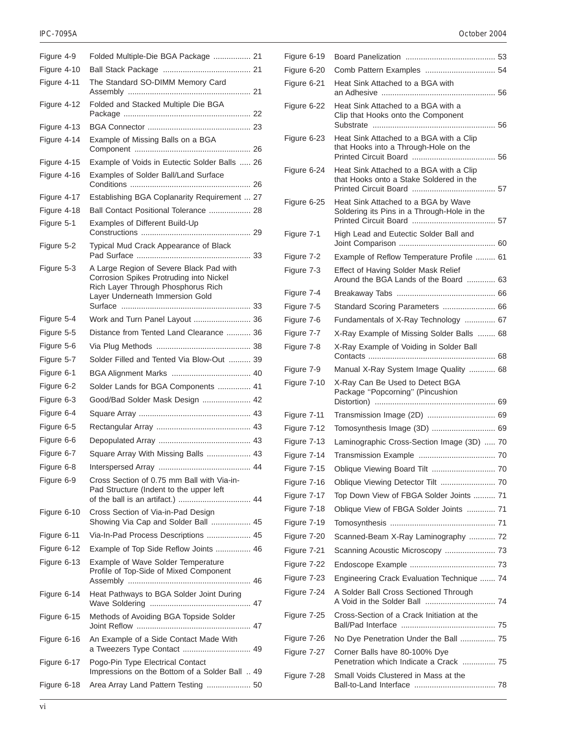| Figure 4-9  |                                                                                                                                                             |  |
|-------------|-------------------------------------------------------------------------------------------------------------------------------------------------------------|--|
| Figure 4-10 | Folded Multiple-Die BGA Package  21                                                                                                                         |  |
| Figure 4-11 | The Standard SO-DIMM Memory Card                                                                                                                            |  |
| Figure 4-12 | Folded and Stacked Multiple Die BGA                                                                                                                         |  |
| Figure 4-13 |                                                                                                                                                             |  |
| Figure 4-14 | Example of Missing Balls on a BGA                                                                                                                           |  |
| Figure 4-15 | Example of Voids in Eutectic Solder Balls  26                                                                                                               |  |
| Figure 4-16 | Examples of Solder Ball/Land Surface                                                                                                                        |  |
| Figure 4-17 | Establishing BGA Coplanarity Requirement  27                                                                                                                |  |
| Figure 4-18 | Ball Contact Positional Tolerance  28                                                                                                                       |  |
| Figure 5-1  | Examples of Different Build-Up                                                                                                                              |  |
| Figure 5-2  | Typical Mud Crack Appearance of Black                                                                                                                       |  |
| Figure 5-3  | A Large Region of Severe Black Pad with<br>Corrosion Spikes Protruding into Nickel<br>Rich Layer Through Phosphorus Rich<br>Layer Underneath Immersion Gold |  |
| Figure 5-4  | Work and Turn Panel Layout  36                                                                                                                              |  |
| Figure 5-5  | Distance from Tented Land Clearance  36                                                                                                                     |  |
| Figure 5-6  |                                                                                                                                                             |  |
| Figure 5-7  | Solder Filled and Tented Via Blow-Out  39                                                                                                                   |  |
| Figure 6-1  |                                                                                                                                                             |  |
| Figure 6-2  | Solder Lands for BGA Components  41                                                                                                                         |  |
| Figure 6-3  | Good/Bad Solder Mask Design  42                                                                                                                             |  |
| Figure 6-4  |                                                                                                                                                             |  |
| Figure 6-5  |                                                                                                                                                             |  |
| Figure 6-6  |                                                                                                                                                             |  |
| Figure 6-7  | Square Array With Missing Balls  43                                                                                                                         |  |
| Figure 6-8  |                                                                                                                                                             |  |
| Figure 6-9  | Cross Section of 0.75 mm Ball with Via-in-<br>Pad Structure (Indent to the upper left                                                                       |  |
| Figure 6-10 | Cross Section of Via-in-Pad Design<br>Showing Via Cap and Solder Ball  45                                                                                   |  |
| Figure 6-11 | Via-In-Pad Process Descriptions  45                                                                                                                         |  |
| Figure 6-12 | Example of Top Side Reflow Joints  46                                                                                                                       |  |
| Figure 6-13 | Example of Wave Solder Temperature<br>Profile of Top-Side of Mixed Component                                                                                |  |
| Figure 6-14 | Heat Pathways to BGA Solder Joint During                                                                                                                    |  |
| Figure 6-15 | Methods of Avoiding BGA Topside Solder                                                                                                                      |  |
| Figure 6-16 | An Example of a Side Contact Made With<br>a Tweezers Type Contact  49                                                                                       |  |
| Figure 6-17 | Pogo-Pin Type Electrical Contact<br>Impressions on the Bottom of a Solder Ball  49                                                                          |  |
| Figure 6-18 | Area Array Land Pattern Testing  50                                                                                                                         |  |

#### IPC-7095A October 2004

| Figure 6-19 |                                                                                    |  |
|-------------|------------------------------------------------------------------------------------|--|
| Figure 6-20 | Comb Pattern Examples  54                                                          |  |
| Figure 6-21 | Heat Sink Attached to a BGA with                                                   |  |
| Figure 6-22 | Heat Sink Attached to a BGA with a<br>Clip that Hooks onto the Component           |  |
| Figure 6-23 | Heat Sink Attached to a BGA with a Clip<br>that Hooks into a Through-Hole on the   |  |
| Figure 6-24 | Heat Sink Attached to a BGA with a Clip<br>that Hooks onto a Stake Soldered in the |  |
| Figure 6-25 | Heat Sink Attached to a BGA by Wave<br>Soldering its Pins in a Through-Hole in the |  |
| Figure 7-1  | High Lead and Eutectic Solder Ball and                                             |  |
| Figure 7-2  | Example of Reflow Temperature Profile  61                                          |  |
| Figure 7-3  | Effect of Having Solder Mask Relief<br>Around the BGA Lands of the Board  63       |  |
| Figure 7-4  |                                                                                    |  |
| Figure 7-5  |                                                                                    |  |
| Figure 7-6  | Fundamentals of X-Ray Technology  67                                               |  |
| Figure 7-7  | X-Ray Example of Missing Solder Balls  68                                          |  |
| Figure 7-8  | X-Ray Example of Voiding in Solder Ball                                            |  |
| Figure 7-9  | Manual X-Ray System Image Quality  68                                              |  |
| Figure 7-10 | X-Ray Can Be Used to Detect BGA<br>Package "Popcorning" (Pincushion                |  |
| Figure 7-11 | Transmission Image (2D)  69                                                        |  |
| Figure 7-12 | Tomosynthesis Image (3D)  69                                                       |  |
| Figure 7-13 | Laminographic Cross-Section Image (3D)  70                                         |  |
| Figure 7-14 |                                                                                    |  |
| Figure 7-15 | Oblique Viewing Board Tilt  70                                                     |  |
| Figure 7-16 |                                                                                    |  |
| Figure 7-17 | Top Down View of FBGA Solder Joints  71                                            |  |
| Figure 7-18 | Oblique View of FBGA Solder Joints  71                                             |  |
| Figure 7-19 |                                                                                    |  |
| Figure 7-20 | Scanned-Beam X-Ray Laminography  72                                                |  |
| Figure 7-21 | Scanning Acoustic Microscopy  73                                                   |  |
| Figure 7-22 |                                                                                    |  |
| Figure 7-23 | Engineering Crack Evaluation Technique  74                                         |  |
| Figure 7-24 | A Solder Ball Cross Sectioned Through                                              |  |
| Figure 7-25 | Cross-Section of a Crack Initiation at the                                         |  |
| Figure 7-26 | No Dye Penetration Under the Ball  75                                              |  |
| Figure 7-27 | Corner Balls have 80-100% Dye<br>Penetration which Indicate a Crack  75            |  |
| Figure 7-28 | Small Voids Clustered in Mass at the                                               |  |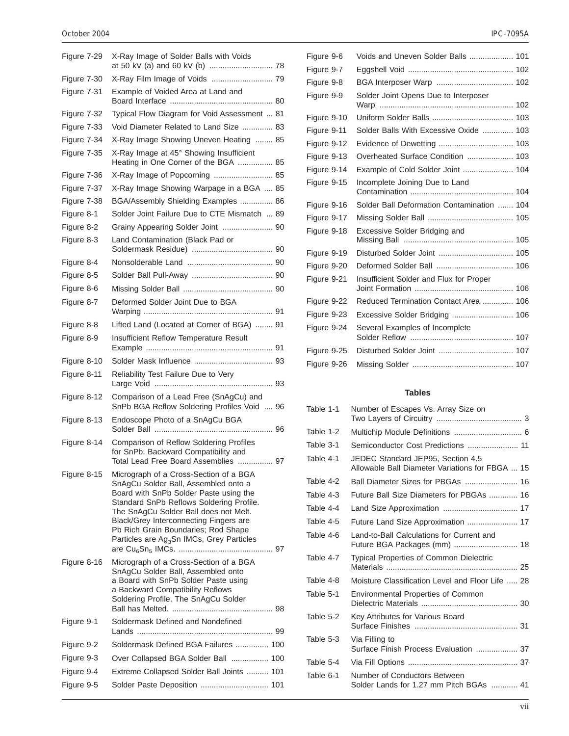#### October 2004 IPC-7095A

| Figure 7-29 | X-Ray Image of Solder Balls with Voids                                                                                                                                                                                                                                                                                                                  |  |
|-------------|---------------------------------------------------------------------------------------------------------------------------------------------------------------------------------------------------------------------------------------------------------------------------------------------------------------------------------------------------------|--|
| Figure 7-30 | X-Ray Film Image of Voids  79                                                                                                                                                                                                                                                                                                                           |  |
| Figure 7-31 | Example of Voided Area at Land and                                                                                                                                                                                                                                                                                                                      |  |
| Figure 7-32 | Typical Flow Diagram for Void Assessment  81                                                                                                                                                                                                                                                                                                            |  |
| Figure 7-33 | Void Diameter Related to Land Size  83                                                                                                                                                                                                                                                                                                                  |  |
| Figure 7-34 | X-Ray Image Showing Uneven Heating  85                                                                                                                                                                                                                                                                                                                  |  |
| Figure 7-35 | X-Ray Image at 45° Showing Insufficient<br>Heating in One Corner of the BGA  85                                                                                                                                                                                                                                                                         |  |
| Figure 7-36 | X-Ray Image of Popcorning  85                                                                                                                                                                                                                                                                                                                           |  |
| Figure 7-37 | X-Ray Image Showing Warpage in a BGA  85                                                                                                                                                                                                                                                                                                                |  |
| Figure 7-38 | BGA/Assembly Shielding Examples  86                                                                                                                                                                                                                                                                                                                     |  |
| Figure 8-1  | Solder Joint Failure Due to CTE Mismatch  89                                                                                                                                                                                                                                                                                                            |  |
| Figure 8-2  | Grainy Appearing Solder Joint  90                                                                                                                                                                                                                                                                                                                       |  |
| Figure 8-3  | Land Contamination (Black Pad or                                                                                                                                                                                                                                                                                                                        |  |
| Figure 8-4  |                                                                                                                                                                                                                                                                                                                                                         |  |
| Figure 8-5  |                                                                                                                                                                                                                                                                                                                                                         |  |
| Figure 8-6  |                                                                                                                                                                                                                                                                                                                                                         |  |
| Figure 8-7  | Deformed Solder Joint Due to BGA                                                                                                                                                                                                                                                                                                                        |  |
| Figure 8-8  | Lifted Land (Located at Corner of BGA)  91                                                                                                                                                                                                                                                                                                              |  |
| Figure 8-9  | Insufficient Reflow Temperature Result                                                                                                                                                                                                                                                                                                                  |  |
| Figure 8-10 |                                                                                                                                                                                                                                                                                                                                                         |  |
| Figure 8-11 | Reliability Test Failure Due to Very                                                                                                                                                                                                                                                                                                                    |  |
| Figure 8-12 | Comparison of a Lead Free (SnAgCu) and<br>SnPb BGA Reflow Soldering Profiles Void  96                                                                                                                                                                                                                                                                   |  |
| Figure 8-13 | Endoscope Photo of a SnAgCu BGA                                                                                                                                                                                                                                                                                                                         |  |
| Figure 8-14 | Comparison of Reflow Soldering Profiles<br>for SnPb, Backward Compatibility and<br>Total Lead Free Board Assemblies  97                                                                                                                                                                                                                                 |  |
| Figure 8-15 | Micrograph of a Cross-Section of a BGA<br>SnAgCu Solder Ball, Assembled onto a<br>Board with SnPb Solder Paste using the<br>Standard SnPb Reflows Soldering Profile.<br>The SnAgCu Solder Ball does not Melt.<br>Black/Grey Interconnecting Fingers are<br>Pb Rich Grain Boundaries; Rod Shape<br>Particles are Ag <sub>3</sub> Sn IMCs, Grey Particles |  |
| Figure 8-16 | Micrograph of a Cross-Section of a BGA<br>SnAgCu Solder Ball, Assembled onto<br>a Board with SnPb Solder Paste using<br>a Backward Compatibility Reflows<br>Soldering Profile. The SnAgCu Solder                                                                                                                                                        |  |
| Figure 9-1  | Soldermask Defined and Nondefined                                                                                                                                                                                                                                                                                                                       |  |
| Figure 9-2  | Soldermask Defined BGA Failures  100                                                                                                                                                                                                                                                                                                                    |  |
| Figure 9-3  | Over Collapsed BGA Solder Ball  100                                                                                                                                                                                                                                                                                                                     |  |
| Figure 9-4  | Extreme Collapsed Solder Ball Joints  101                                                                                                                                                                                                                                                                                                               |  |
| Figure 9-5  | Solder Paste Deposition  101                                                                                                                                                                                                                                                                                                                            |  |
|             |                                                                                                                                                                                                                                                                                                                                                         |  |

| Figure 9-6  | Voids and Uneven Solder Balls  101         |  |
|-------------|--------------------------------------------|--|
| Figure 9-7  |                                            |  |
| Figure 9-8  |                                            |  |
| Figure 9-9  | Solder Joint Opens Due to Interposer       |  |
| Figure 9-10 |                                            |  |
| Figure 9-11 | Solder Balls With Excessive Oxide  103     |  |
| Figure 9-12 | Evidence of Dewetting  103                 |  |
| Figure 9-13 | Overheated Surface Condition  103          |  |
| Figure 9-14 | Example of Cold Solder Joint  104          |  |
| Figure 9-15 | Incomplete Joining Due to Land             |  |
| Figure 9-16 | Solder Ball Deformation Contamination  104 |  |
| Figure 9-17 |                                            |  |
| Figure 9-18 | Excessive Solder Bridging and              |  |
| Figure 9-19 |                                            |  |
| Figure 9-20 |                                            |  |
| Figure 9-21 | Insufficient Solder and Flux for Proper    |  |
| Figure 9-22 | Reduced Termination Contact Area  106      |  |
| Figure 9-23 | Excessive Solder Bridging  106             |  |
| Figure 9-24 | Several Examples of Incomplete             |  |
| Figure 9-25 |                                            |  |
| Figure 9-26 |                                            |  |

### **Tables**

| Table 1-1 | Number of Escapes Vs. Array Size on                                                  |  |
|-----------|--------------------------------------------------------------------------------------|--|
| Table 1-2 |                                                                                      |  |
| Table 3-1 |                                                                                      |  |
| Table 4-1 | JEDEC Standard JEP95, Section 4.5<br>Allowable Ball Diameter Variations for FBGA  15 |  |
| Table 4-2 | Ball Diameter Sizes for PBGAs  16                                                    |  |
| Table 4-3 | Future Ball Size Diameters for PBGAs  16                                             |  |
| Table 4-4 |                                                                                      |  |
| Table 4-5 | Future Land Size Approximation  17                                                   |  |
| Table 4-6 | Land-to-Ball Calculations for Current and<br>Future BGA Packages (mm)  18            |  |
| Table 4-7 | <b>Typical Properties of Common Dielectric</b>                                       |  |
| Table 4-8 | Moisture Classification Level and Floor Life  28                                     |  |
| Table 5-1 | <b>Environmental Properties of Common</b>                                            |  |
| Table 5-2 | Key Attributes for Various Board                                                     |  |
| Table 5-3 | Via Filling to<br>Surface Finish Process Evaluation  37                              |  |
| Table 5-4 |                                                                                      |  |
| Table 6-1 | Number of Conductors Between<br>Solder Lands for 1.27 mm Pitch BGAs  41              |  |
|           |                                                                                      |  |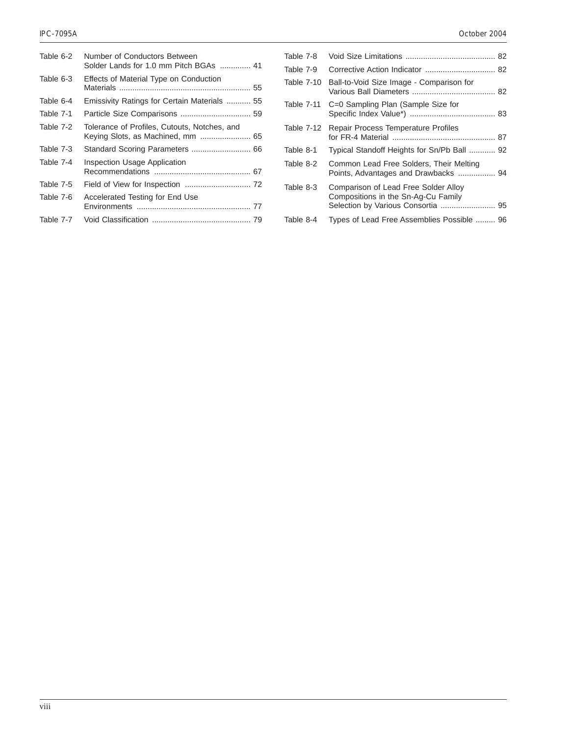| Table 6-2 | Number of Conductors Between<br>Solder Lands for 1.0 mm Pitch BGAs  41 |
|-----------|------------------------------------------------------------------------|
| Table 6-3 | Effects of Material Type on Conduction                                 |
| Table 6-4 | Emissivity Ratings for Certain Materials  55                           |
| Table 7-1 |                                                                        |
| Table 7-2 | Tolerance of Profiles, Cutouts, Notches, and                           |
| Table 7-3 |                                                                        |
| Table 7-4 | Inspection Usage Application                                           |
| Table 7-5 |                                                                        |
| Table 7-6 | Accelerated Testing for End Use                                        |
| Table 7-7 |                                                                        |

| Table 7-8         |                                                                                 |  |
|-------------------|---------------------------------------------------------------------------------|--|
| Table 7-9         |                                                                                 |  |
| <b>Table 7-10</b> | Ball-to-Void Size Image - Comparison for                                        |  |
| <b>Table 7-11</b> | C=0 Sampling Plan (Sample Size for                                              |  |
| Table 7-12        | Repair Process Temperature Profiles                                             |  |
| Table 8-1         | Typical Standoff Heights for Sn/Pb Ball  92                                     |  |
| Table 8-2         | Common Lead Free Solders, Their Melting<br>Points, Advantages and Drawbacks  94 |  |
| Table 8-3         | Comparison of Lead Free Solder Alloy<br>Compositions in the Sn-Ag-Cu Family     |  |
| Table 8-4         | Types of Lead Free Assemblies Possible  96                                      |  |